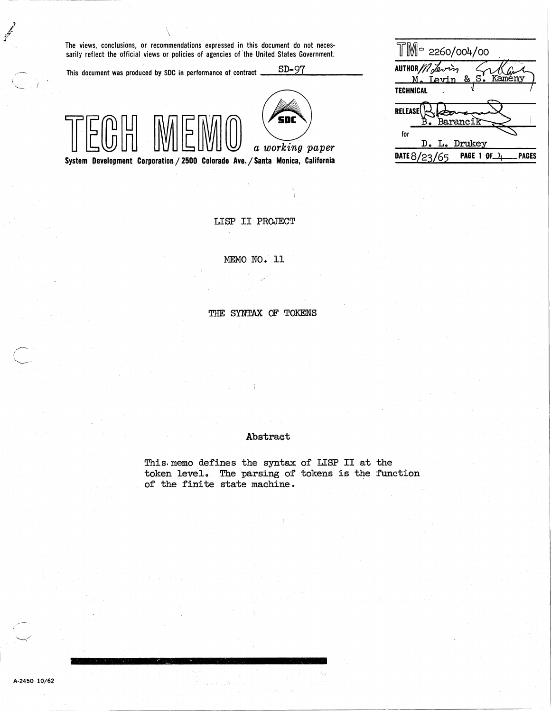The views, conclusions, or recommendations expressed in this document do not necessarily reflect the official views or policies of agencies of the United States Government.

This document was produced by SDC in .performance of contract  $S\rightarrow$   $S\rightarrow$  97.



a working paper

System Development Corporation / 2500 Colorado Ave. / Santa Monica, California

 $\frac{1}{2}$  M = 2260/004/00<br>
AUTHOR / / Levin & S. Kameny AUTHOR  $//\sqrt{a}v\rightarrow$ **TECHNICAL** .n""~~ \f:~c~ for D. L. Drukey DATE  $8/23/65$  PAGE 1 OF  $4$  PAGES

LISP II PROJECT

## MEMO NO. 11

THE SYNTAX OF TOKENS

## Abstract

This. memo defines the syntax of LISP II at the token level. The parsing of tokens is the function of the finite state machine.

فيمجمج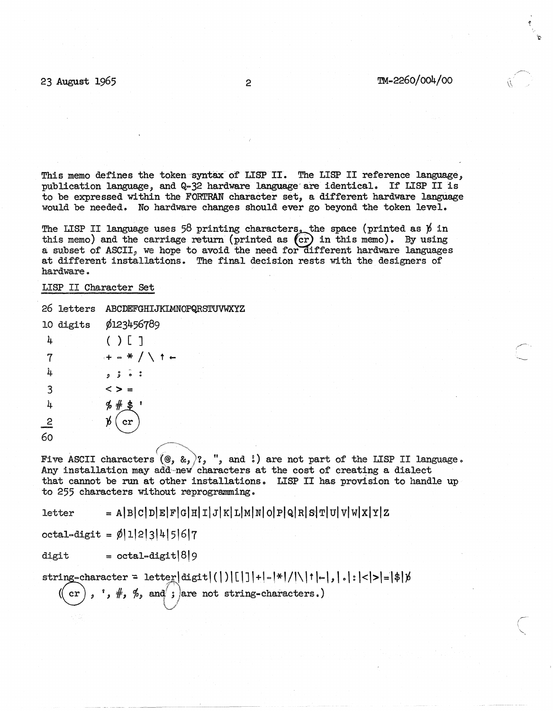$\mathcal{L}$  and  $\mathcal{L}$ 

This memo defines the token-syntax of LISP II. The LISP II reference language, publication language, and Q-32 hardware language- are identical. If LISP II is to be expressed within the FORTRAN character set, a different hardware language would be needed. No hardware changes should ever go beyond the token level.

The LISP II language uses 58 printing characters, the space (printed as  $\not\!$  in this memo) and the carriage return (printed as  $(cr)$  in this memo). By using a subset of ASCII, we hope to avoid the need for different hardware languages at different installations. The final decision rests with the designers of hardware.

## LISP II Character Set

## 26 letters ABCDEFGHIJKIMNOPQRSTUVWXYZ

|    | 10 digits | ø123456789                        |
|----|-----------|-----------------------------------|
| 4  |           | ( ) [ ]                           |
| 7  |           | $+$ = $*$ $/$ $\setminus$ $+$ $-$ |
| 4  |           | .<br>.<br>.<br>.                  |
| 3  |           | < >                               |
| 4  |           |                                   |
| 2  |           | $\rm \not\! b$ ( cr               |
| 60 |           |                                   |

Five ASCII characters  $(\mathcal{Q}, \mathcal{L}, \cdot)$ ,  $\mathcal{C}, \cdot$ , and  $\mathcal{C}$ ) are not part of the LISP II language. Any installation may add new characters at the cost of creating a dialect that cannot be run at other installations. LISP II has provision to handle up to 255 characters without reprogramming.

 $= A|B|C|D|E|F|G|H|I|J|K|L|M|N|O|P|Q|R|S|T|U|V|W|X|Y|Z$ **letter** 

 $octal = \phi |1|2|3|4|5|6|7$ 

digit  $= octal-digit|8|9$ 

 $string = character = letter|digit(|)|[1]|+|-|*|/|\|1|+|,|,|,|<|>|=|$|b$ cr),  $*,$   $\#$ ,  $\%$ , and ; are not string-characters.)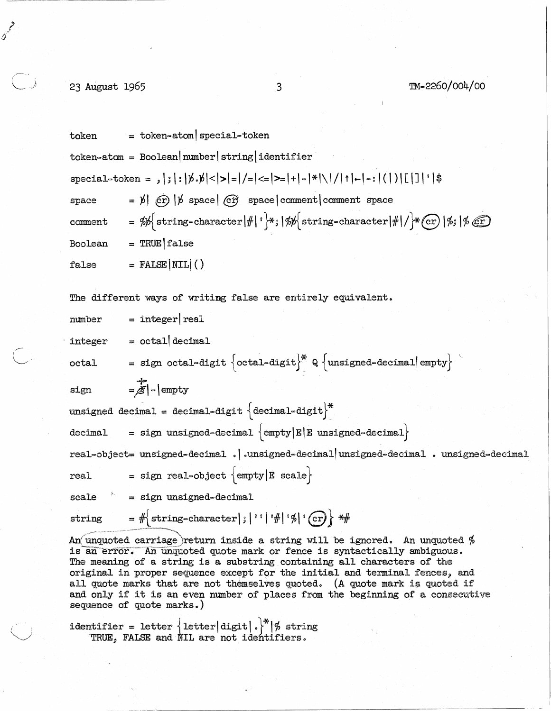-----------~------

حم<br>م)<br>م)

--------

 $\bigcirc$  23 August 1965 3 3 TM-2260/004/00

|  | token                        | $=$ token-atom special-token                                                                                                                                                                                                        |  |  |
|--|------------------------------|-------------------------------------------------------------------------------------------------------------------------------------------------------------------------------------------------------------------------------------|--|--|
|  |                              | $token = Boolean(number string identifier$                                                                                                                                                                                          |  |  |
|  |                              | special=token = ,   ;   :   b. b  <   >   -   / =   < =   >   +   -   *   \   /   t   -   -   (   )   [   ]   '   \$                                                                                                                |  |  |
|  | space                        | $=$ $\cancel{p}$ $\left(\text{c} \right)$ $\left  \cancel{p} \right $ space space comment comment space                                                                                                                             |  |  |
|  | comment                      | = $\frac{1}{2}$ string-character   $\#$   $\cdot$ \*;   % { string-character   $\#$   / \* (cr)   %;   % (cr)                                                                                                                       |  |  |
|  | Boolean                      | $=$ TRUE $ $ false                                                                                                                                                                                                                  |  |  |
|  | false                        | $=$ FALSE $ \text{NIL} ()$                                                                                                                                                                                                          |  |  |
|  |                              | The different ways of writing false are entirely equivalent.                                                                                                                                                                        |  |  |
|  | number                       | $=$ integer real                                                                                                                                                                                                                    |  |  |
|  | integer                      | $=$ octal decimal                                                                                                                                                                                                                   |  |  |
|  | octal                        | = sign octal=digit $\left\{ \text{octal=digit} \right\}^* Q \left\{ \text{unsigned=decimal} \right\}$                                                                                                                               |  |  |
|  | sign                         | $=\mathbb{Z}$ - empty                                                                                                                                                                                                               |  |  |
|  |                              | unsigned decimal = decimal-digit $\{$ decimal-digit $\}^*$                                                                                                                                                                          |  |  |
|  | decimal                      | = sign unsigned-decimal $\text{empty }E E$ unsigned-decimal                                                                                                                                                                         |  |  |
|  |                              | real-object= unsigned-decimal .  .unsigned-decimal unsigned-decimal . unsigned-decimal                                                                                                                                              |  |  |
|  | real                         | = sign real-object $\text{empty }E$ scale                                                                                                                                                                                           |  |  |
|  | $\theta_{\rm{eff}}$<br>scale | = sign unsigned-decimal                                                                                                                                                                                                             |  |  |
|  | string                       | $=$ # string-character   ;   ' '   ' #   ' %   ' (cr) } * #                                                                                                                                                                         |  |  |
|  |                              | An unquoted carriage return inside a string will be ignored. An unquoted $%$<br>is an error. An unquoted quote mark or fence is syntactically ambiguous.<br>The meaning of a string is a substring containing all characters of the |  |  |

original in proper sequence except for the initial and terminal fences, and all quote marks that are not themselves quoted. (A quote mark is quoted if and only if it is an even number of places from the beginning of a consecutive  $sequence of quote marks.)$ 

identifier = letter  $\left| \text{letter} \right|$  digit $|\cdot|^*|\%$  string TRUE, FALSE and NIL are not identifiers.